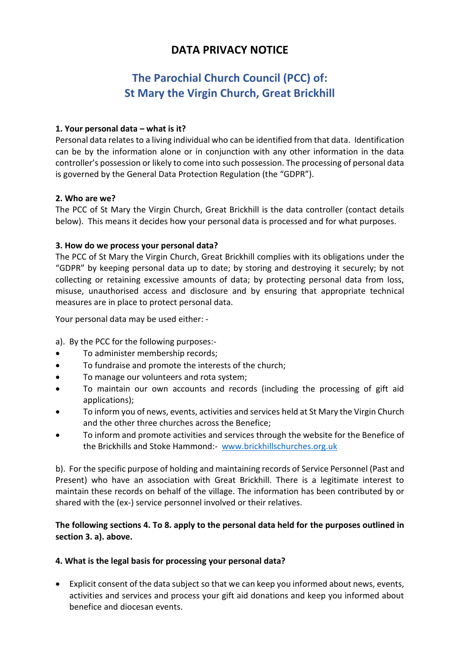## **DATA PRIVACY NOTICE**

# **The Parochial Church Council (PCC) of: St Mary the Virgin Church, Great Brickhill**

## **1. Your personal data – what is it?**

Personal data relates to a living individual who can be identified from that data. Identification can be by the information alone or in conjunction with any other information in the data controller's possession or likely to come into such possession. The processing of personal data is governed by the General Data Protection Regulation (the "GDPR").

## **2. Who are we?**

The PCC of St Mary the Virgin Church, Great Brickhill is the data controller (contact details below). This means it decides how your personal data is processed and for what purposes.

## **3. How do we process your personal data?**

The PCC of St Mary the Virgin Church, Great Brickhill complies with its obligations under the "GDPR" by keeping personal data up to date; by storing and destroying it securely; by not collecting or retaining excessive amounts of data; by protecting personal data from loss, misuse, unauthorised access and disclosure and by ensuring that appropriate technical measures are in place to protect personal data.

Your personal data may be used either: -

a). By the PCC for the following purposes:-

- To administer membership records;
- To fundraise and promote the interests of the church;
- To manage our volunteers and rota system;
- To maintain our own accounts and records (including the processing of gift aid applications);
- To inform you of news, events, activities and services held at St Mary the Virgin Church and the other three churches across the Benefice;
- To inform and promote activities and services through the website for the Benefice of the Brickhills and Stoke Hammond:- [www.brickhillschurches.org.uk](http://www.brickhillschurches.org.uk/)

b). For the specific purpose of holding and maintaining records of Service Personnel (Past and Present) who have an association with Great Brickhill. There is a legitimate interest to maintain these records on behalf of the village. The information has been contributed by or shared with the (ex-) service personnel involved or their relatives.

## **The following sections 4. To 8. apply to the personal data held for the purposes outlined in section 3. a). above.**

## **4. What is the legal basis for processing your personal data?**

• Explicit consent of the data subject so that we can keep you informed about news, events, activities and services and process your gift aid donations and keep you informed about benefice and diocesan events.